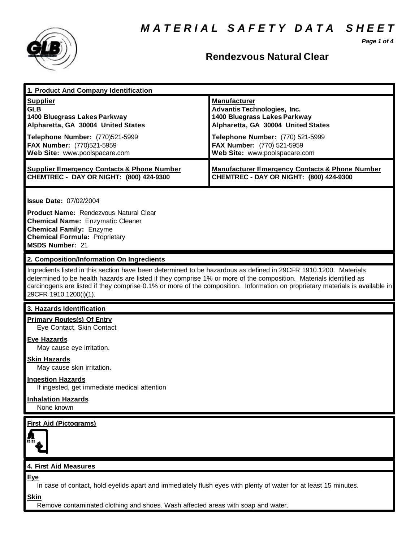*Page 1 of 4*



## **Rendezvous Natural Clear**

| 1. Product And Company Identification                                                                                                                                                                                                                                                                                                                                                             |                                                                                                                                                                                                                                    |
|---------------------------------------------------------------------------------------------------------------------------------------------------------------------------------------------------------------------------------------------------------------------------------------------------------------------------------------------------------------------------------------------------|------------------------------------------------------------------------------------------------------------------------------------------------------------------------------------------------------------------------------------|
| <b>Supplier</b><br><b>GLB</b><br>1400 Bluegrass Lakes Parkway<br>Alpharetta, GA 30004 United States<br>Telephone Number: (770)521-5999<br>FAX Number: (770)521-5959<br>Web Site: www.poolspacare.com                                                                                                                                                                                              | <b>Manufacturer</b><br><b>Advantis Technologies, Inc.</b><br>1400 Bluegrass Lakes Parkway<br>Alpharetta, GA 30004 United States<br>Telephone Number: (770) 521-5999<br>FAX Number: (770) 521-5959<br>Web Site: www.poolspacare.com |
| <b>Supplier Emergency Contacts &amp; Phone Number</b><br>CHEMTREC - DAY OR NIGHT: (800) 424-9300                                                                                                                                                                                                                                                                                                  | <b>Manufacturer Emergency Contacts &amp; Phone Number</b><br>CHEMTREC - DAY OR NIGHT: (800) 424-9300                                                                                                                               |
| <b>Issue Date: 07/02/2004</b><br>Product Name: Rendezvous Natural Clear<br><b>Chemical Name: Enzymatic Cleaner</b><br><b>Chemical Family: Enzyme</b><br><b>Chemical Formula: Proprietary</b><br><b>MSDS Number: 21</b>                                                                                                                                                                            |                                                                                                                                                                                                                                    |
| 2. Composition/Information On Ingredients                                                                                                                                                                                                                                                                                                                                                         |                                                                                                                                                                                                                                    |
| Ingredients listed in this section have been determined to be hazardous as defined in 29CFR 1910.1200. Materials<br>determined to be health hazards are listed if they comprise 1% or more of the composition. Materials identified as<br>carcinogens are listed if they comprise 0.1% or more of the composition. Information on proprietary materials is available in<br>29CFR 1910.1200(i)(1). |                                                                                                                                                                                                                                    |
| 3. Hazards Identification                                                                                                                                                                                                                                                                                                                                                                         |                                                                                                                                                                                                                                    |
| <b>Primary Routes(s) Of Entry</b><br>Eye Contact, Skin Contact                                                                                                                                                                                                                                                                                                                                    |                                                                                                                                                                                                                                    |
| <b>Eye Hazards</b><br>May cause eye irritation.                                                                                                                                                                                                                                                                                                                                                   |                                                                                                                                                                                                                                    |
| <b>Skin Hazards</b><br>May cause skin irritation.                                                                                                                                                                                                                                                                                                                                                 |                                                                                                                                                                                                                                    |
| <b>Ingestion Hazards</b><br>If ingested, get immediate medical attention                                                                                                                                                                                                                                                                                                                          |                                                                                                                                                                                                                                    |
| <b>Inhalation Hazards</b><br>None known                                                                                                                                                                                                                                                                                                                                                           |                                                                                                                                                                                                                                    |
| <b>First Aid (Pictograms)</b>                                                                                                                                                                                                                                                                                                                                                                     |                                                                                                                                                                                                                                    |
| 4. First Aid Measures                                                                                                                                                                                                                                                                                                                                                                             |                                                                                                                                                                                                                                    |
| Eye<br>In case of contact, hold eyelids apart and immediately flush eyes with plenty of water for at least 15 minutes.<br><b>Skin</b>                                                                                                                                                                                                                                                             |                                                                                                                                                                                                                                    |

Remove contaminated clothing and shoes. Wash affected areas with soap and water.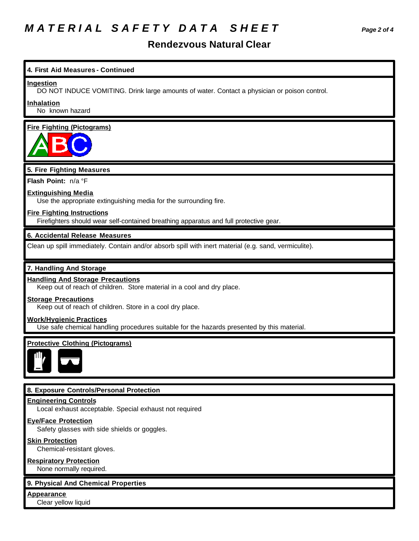# *M A T E R I A L S A F E T Y D A T A S H E E T Page 2 of 4*

### **Rendezvous Natural Clear**

**4. First Aid Measures - Continued Ingestion** DO NOT INDUCE VOMITING. Drink large amounts of water. Contact a physician or poison control. **Inhalation** No known hazard **Fire Fighting (Pictograms) 5. Fire Fighting Measures Flash Point:** n/a °F **Extinguishing Media**

Use the appropriate extinguishing media for the surrounding fire.

#### **Fire Fighting Instructions**

Firefighters should wear self-contained breathing apparatus and full protective gear.

#### **6. Accidental Release Measures**

Clean up spill immediately. Contain and/or absorb spill with inert material (e.g. sand, vermiculite).

#### **7. Handling And Storage**

#### **Handling And Storage Precautions**

Keep out of reach of children. Store material in a cool and dry place.

#### **Storage Precautions**

Keep out of reach of children. Store in a cool dry place.

#### **Work/Hygienic Practices**

Use safe chemical handling procedures suitable for the hazards presented by this material.

#### **Protective Clothing (Pictograms)**



#### **8. Exposure Controls/Personal Protection**

#### **Engineering Controls**

Local exhaust acceptable. Special exhaust not required

#### **Eye/Face Protection**

Safety glasses with side shields or goggles.

#### **Skin Protection**

Chemical-resistant gloves.

#### **Respiratory Protection**

None normally required.

#### **9. Physical And Chemical Properties**

**Appearance**

Clear yellow liquid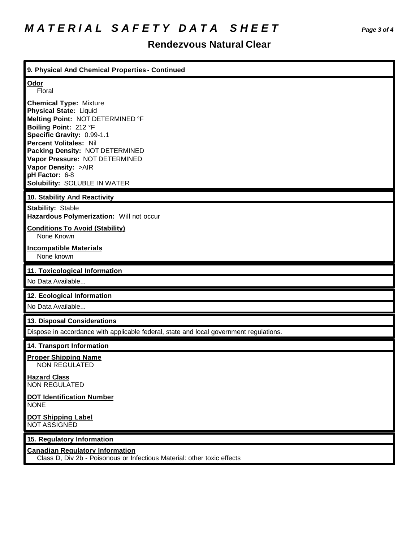## **Rendezvous Natural Clear**

| 9. Physical And Chemical Properties - Continued                                                                                                                                                                                                                                                                                          |
|------------------------------------------------------------------------------------------------------------------------------------------------------------------------------------------------------------------------------------------------------------------------------------------------------------------------------------------|
| Odor<br>Floral                                                                                                                                                                                                                                                                                                                           |
| <b>Chemical Type: Mixture</b><br><b>Physical State: Liquid</b><br>Melting Point: NOT DETERMINED °F<br>Boiling Point: 212 °F<br>Specific Gravity: 0.99-1.1<br><b>Percent Volitales: Nil</b><br>Packing Density: NOT DETERMINED<br>Vapor Pressure: NOT DETERMINED<br>Vapor Density: >AIR<br>pH Factor: 6-8<br>Solubility: SOLUBLE IN WATER |
| 10. Stability And Reactivity                                                                                                                                                                                                                                                                                                             |
| <b>Stability: Stable</b><br>Hazardous Polymerization: Will not occur                                                                                                                                                                                                                                                                     |
| <b>Conditions To Avoid (Stability)</b><br>None Known                                                                                                                                                                                                                                                                                     |
| <b>Incompatible Materials</b><br>None known                                                                                                                                                                                                                                                                                              |
|                                                                                                                                                                                                                                                                                                                                          |
| 11. Toxicological Information                                                                                                                                                                                                                                                                                                            |
| No Data Available                                                                                                                                                                                                                                                                                                                        |
| 12. Ecological Information                                                                                                                                                                                                                                                                                                               |
| No Data Available                                                                                                                                                                                                                                                                                                                        |
| 13. Disposal Considerations                                                                                                                                                                                                                                                                                                              |
| Dispose in accordance with applicable federal, state and local government regulations.                                                                                                                                                                                                                                                   |
| 14. Transport Information                                                                                                                                                                                                                                                                                                                |
| <b>Proper Shipping Name</b><br><b>NON REGULATED</b>                                                                                                                                                                                                                                                                                      |
| <b>Hazard Class</b><br><b>NON REGULATED</b>                                                                                                                                                                                                                                                                                              |
| <b>DOT Identification Number</b><br><b>NONE</b>                                                                                                                                                                                                                                                                                          |
| <b>DOT Shipping Label</b><br><b>NOT ASSIGNED</b>                                                                                                                                                                                                                                                                                         |
| 15. Regulatory Information                                                                                                                                                                                                                                                                                                               |